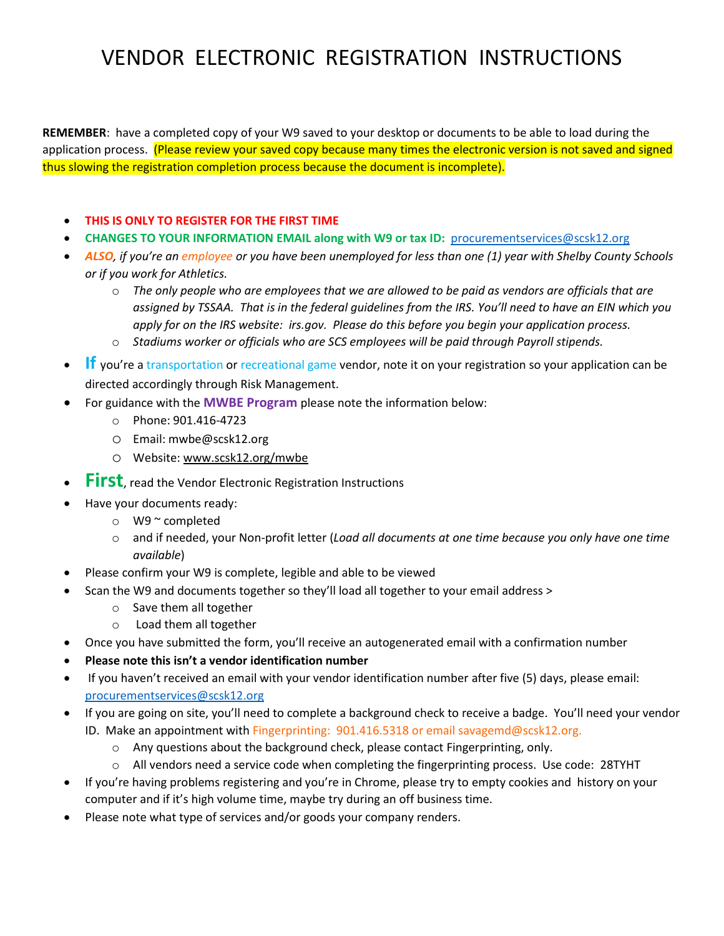## VENDOR ELECTRONIC REGISTRATION INSTRUCTIONS

**REMEMBER**: have a completed copy of your W9 saved to your desktop or documents to be able to load during the application process. (Please review your saved copy because many times the electronic version is not saved and signed thus slowing the registration completion process because the document is incomplete).

- **THIS IS ONLY TO REGISTER FOR THE FIRST TIME**
- **CHANGES TO YOUR INFORMATION EMAIL along with W9 or tax ID:** [procurementservices@scsk12.org](mailto:procurementservices@scsk12.org)
- *ALSO, if you're an employee or you have been unemployed for less than one (1) year with Shelby County Schools or if you work for Athletics.*
	- o *The only people who are employees that we are allowed to be paid as vendors are officials that are assigned by TSSAA. That is in the federal guidelines from the IRS. You'll need to have an EIN which you apply for on the IRS website: irs.gov. Please do this before you begin your application process.*
	- o *Stadiums worker or officials who are SCS employees will be paid through Payroll stipends.*
- **If** you're a transportation or recreational game vendor, note it on your registration so your application can be directed accordingly through Risk Management.
- For guidance with the **MWBE Program** please note the information below:
	- o Phone: 901.416-4723
	- o Email: mwbe@scsk12.org
	- o Website: [www.scsk12.org/mwbe](http://www.scsk12.org/mwbe)
- **First**, read the Vendor Electronic Registration Instructions
- Have your documents ready:
	- o W9 ~ completed
	- o and if needed, your Non-profit letter (*Load all documents at one time because you only have one time available*)
- Please confirm your W9 is complete, legible and able to be viewed
- Scan the W9 and documents together so they'll load all together to your email address >
	- o Save them all together
	- o Load them all together
- Once you have submitted the form, you'll receive an autogenerated email with a confirmation number
- **Please note this isn't a vendor identification number**
- If you haven't received an email with your vendor identification number after five (5) days, please email: [procurementservices@scsk12.org](mailto:procurementservices@scsk12.org)
- If you are going on site, you'll need to complete a background check to receive a badge. You'll need your vendor ID. Make an appointment with Fingerprinting: 901.416.5318 or email savagemd@scsk12.org.
	- o Any questions about the background check, please contact Fingerprinting, only.
	- $\circ$  All vendors need a service code when completing the fingerprinting process. Use code: 28TYHT
- If you're having problems registering and you're in Chrome, please try to empty cookies and history on your computer and if it's high volume time, maybe try during an off business time.
- Please note what type of services and/or goods your company renders.